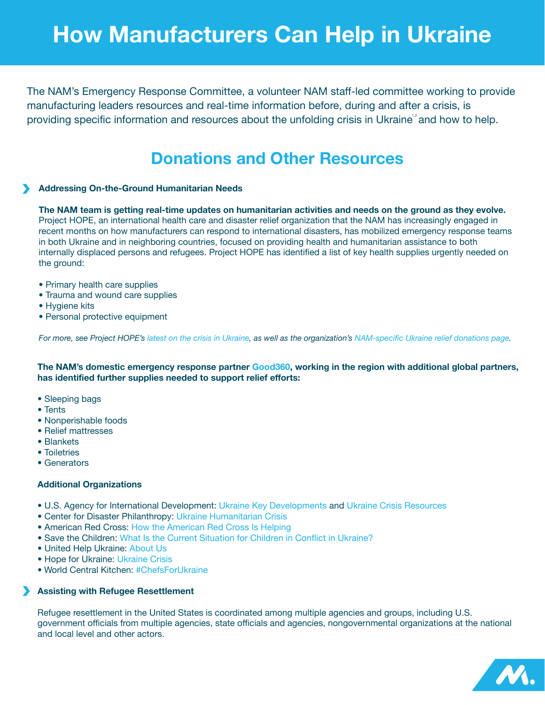# **How Manufacturers Can Help in Ukraine**

The NAM's Emergency Response Committee, a volunteer NAM staff-led committee working to provide manufacturing leaders resources and real-time information before, during and after a crisis, is providing specific information and resources about the unfolding crisis in Ukraine<sup>"</sup> and how to help.

# **Donations and Other Resources**

## **Addressing On-the-Ground Humanitarian Needs**

**The NAM team is getting real-time updates on humanitarian activities and needs on the ground as they evolve.**  Project HOPE, an international health care and disaster relief organization that the NAM has increasingly engaged in recent months on how manufacturers can respond to international disasters, has mobilized emergency response teams in both Ukraine and in neighboring countries, focused on providing health and humanitarian assistance to both internally displaced persons and refugees. Project HOPE has identified a list of key health supplies urgently needed on the ground:

- **•** Primary health care supplies
- **•** Trauma and wound care supplies
- **•** Hygiene kits
- **•** Personal protective equipment

*For more, see Project HOPE's [latest on the crisis in Ukraine](https://www.projecthope.org/crisis-in-ukraine-how-to-help/02/2022/), as well as the organization's [NAM-specific Ukraine relief donations page](http://www.nam.org/Ukraine-Donate).*

**The NAM's domestic emergency response partner [Good360](https://good360.org/), working in the region with additional global partners, has identified further supplies needed to support relief efforts:**

- **•** Sleeping bags
- **•** Tents
- **•** Nonperishable foods
- **•** Relief mattresses
- **•** Blankets
- **•** Toiletries
- **•** Generators

#### **Additional Organizations**

- **•** U.S. Agency for International Development: [Ukraine Key Developments](https://www.usaid.gov/humanitarian-assistance/ukraine) and [Ukraine Crisis Resources](https://www.usaid.gov/ukraine)
- **•** Center for Disaster Philanthropy: [Ukraine Humanitarian Crisis](https://disasterphilanthropy.org/issue-insight/refugees-and-internally-displaced-persons/)
- **•** American Red Cross: [How the American Red Cross Is Helping](https://www.redcross.org/about-us/news-and-events/news/2022/ukraine-red-cross-delivers-aid-to-families.html)
- **•** Save the Children: [What Is the Current Situation for Children in Conflict in Ukraine?](https://www.savethechildren.org/us/where-we-work/ukraine)
- **•** United Help Ukraine: [About Us](https://unitedhelpukraine.org/about-us)
- **•** Hope for Ukraine: [Ukraine Crisis](https://hopeforukraine.net/news-events/ukrainecrisis.html)
- World Central Kitchen: [#ChefsForUkraine](https://wck.org/en-us/relief/activation-chefs-for-ukraine)

#### **Assisting with Refugee Resettlement**

Refugee resettlement in the United States is coordinated among multiple agencies and groups, including U.S. government officials from multiple agencies, state officials and agencies, nongovernmental organizations at the national and local level and other actors.